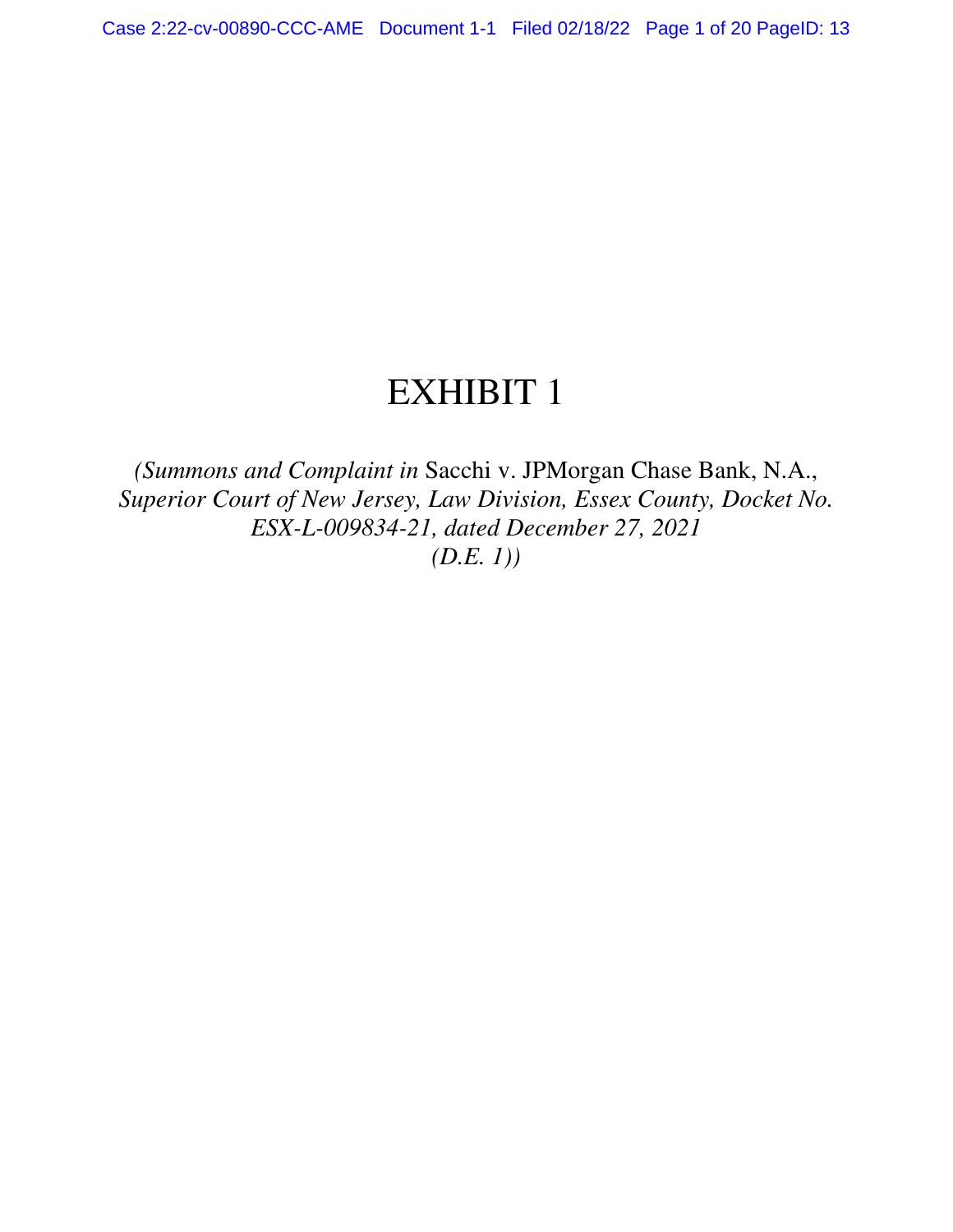# EXHIBIT 1

*(Summons and Complaint in* Sacchi v. JPMorgan Chase Bank, N.A., *Superior Court of New Jersey, Law Division, Essex County, Docket No. ESX-L-009834-21, dated December 27, 2021 (D.E. 1))*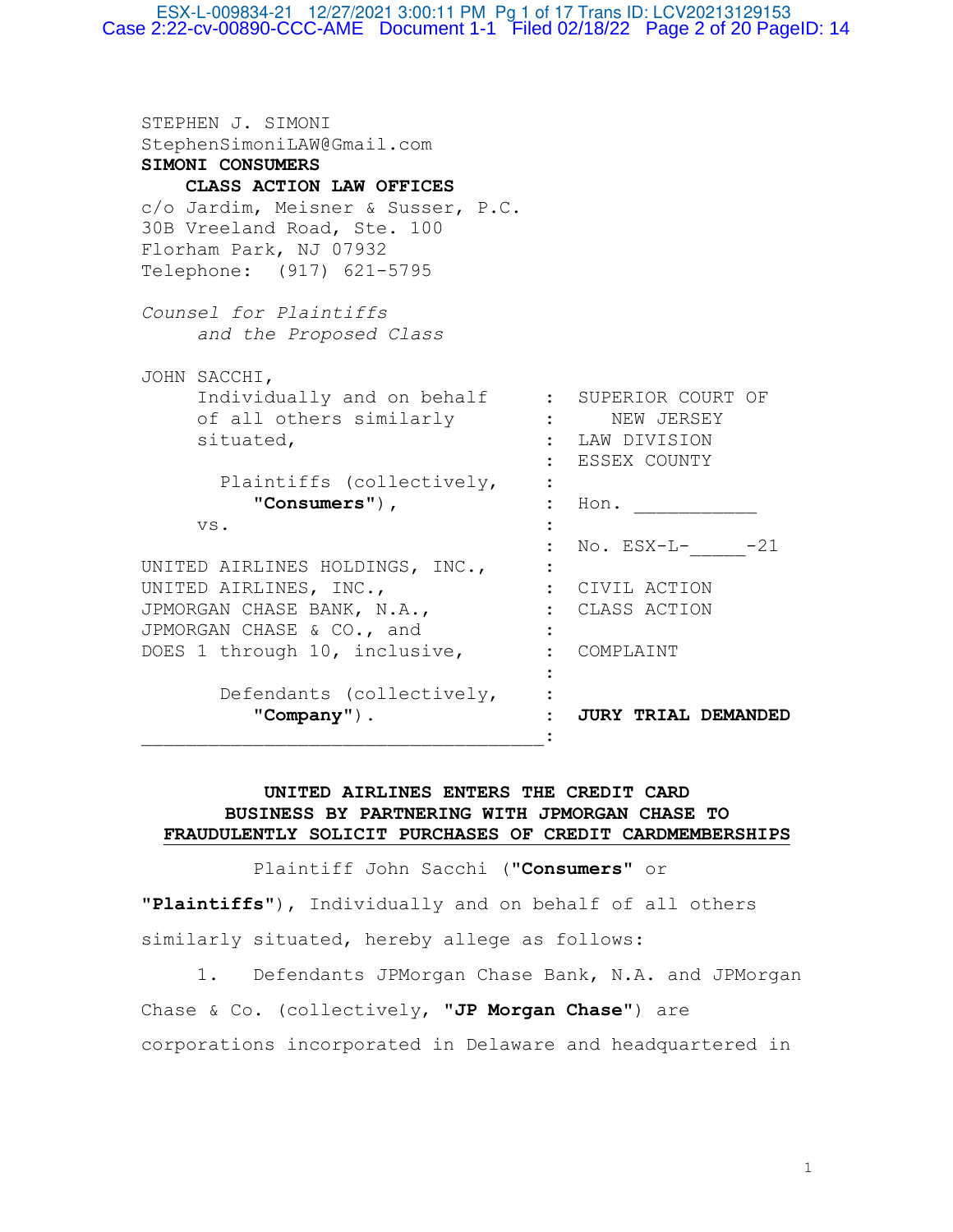ESX-L-009834-21 12/27/2021 3:00:11 PM Pg 1 of 17 Trans ID: LCV20213129153 Case 2:22-cv-00890-CCC-AME Document 1-1 Filed 02/18/22 Page 2 of 20 PageID: 14

STEPHEN J. SIMONI StephenSimoniLAW@Gmail.com **SIMONI CONSUMERS CLASS ACTION LAW OFFICES** c/o Jardim, Meisner & Susser, P.C. 30B Vreeland Road, Ste. 100 Florham Park, NJ 07932 Telephone: (917) 621-5795 *Counsel for Plaintiffs and the Proposed Class*  JOHN SACCHI, Individually and on behalf : SUPERIOR COURT OF of all others similarly : NEW JERSEY situated, : LAW DIVISION : ESSEX COUNTY Plaintiffs (collectively, : "**Consumers**")**, :** Hon. \_\_\_\_\_\_\_\_\_\_\_ vs.  $\cdot$  : : No. ESX-L- -21 UNITED AIRLINES HOLDINGS, INC., : UNITED AIRLINES, INC.,  $\qquad \qquad : \qquad \text{CIVIL } \text{ACTION}$ JPMORGAN CHASE BANK, N.A., : CLASS ACTION JPMORGAN CHASE & CO., and : DOES 1 through 10, inclusive, : COMPLAINT the contract of the contract of the contract of the contract of the contract of Defendants (collectively, : "**Company**"). : **JURY TRIAL DEMANDED** \_\_\_\_\_\_\_\_\_\_\_\_\_\_\_\_\_\_\_\_\_\_\_\_\_\_\_\_\_\_\_\_\_\_\_\_:

# **UNITED AIRLINES ENTERS THE CREDIT CARD BUSINESS BY PARTNERING WITH JPMORGAN CHASE TO FRAUDULENTLY SOLICIT PURCHASES OF CREDIT CARDMEMBERSHIPS**

Plaintiff John Sacchi ("**Consumers**" or

"**Plaintiffs**"), Individually and on behalf of all others similarly situated, hereby allege as follows:

 1. Defendants JPMorgan Chase Bank, N.A. and JPMorgan Chase & Co. (collectively, "**JP Morgan Chase**") are corporations incorporated in Delaware and headquartered in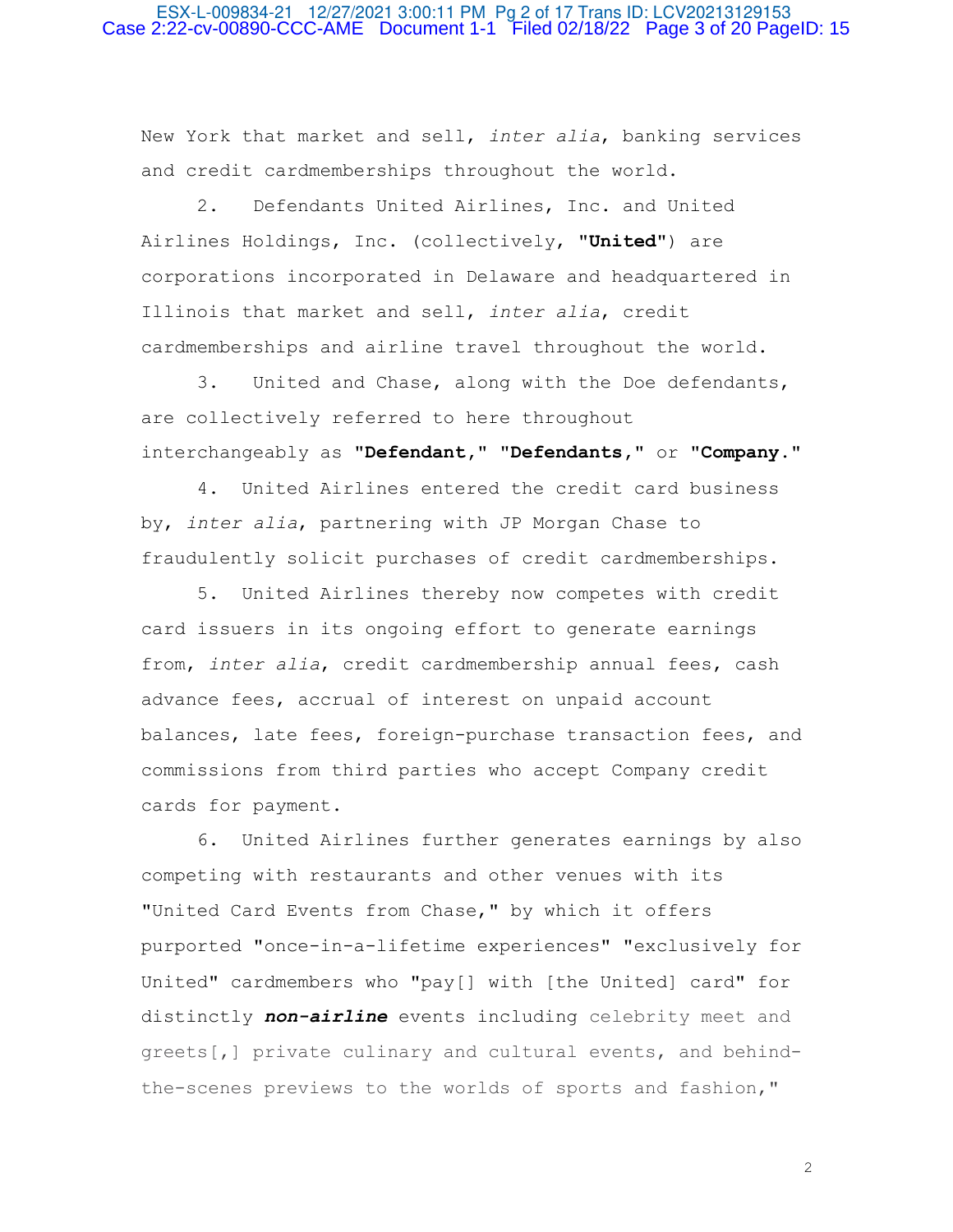## ESX-L-009834-21 12/27/2021 3:00:11 PM Pg 2 of 17 Trans ID: LCV20213129153 Case 2:22-cv-00890-CCC-AME Document 1-1 Filed 02/18/22 Page 3 of 20 PageID: 15

New York that market and sell, *inter alia*, banking services and credit cardmemberships throughout the world.

 2. Defendants United Airlines, Inc. and United Airlines Holdings, Inc. (collectively, "**United**") are corporations incorporated in Delaware and headquartered in Illinois that market and sell, *inter alia*, credit cardmemberships and airline travel throughout the world.

 3. United and Chase, along with the Doe defendants, are collectively referred to here throughout interchangeably as "**Defendant,**" "**Defendants,**" or "**Company**."

 4. United Airlines entered the credit card business by, *inter alia*, partnering with JP Morgan Chase to fraudulently solicit purchases of credit cardmemberships.

 5. United Airlines thereby now competes with credit card issuers in its ongoing effort to generate earnings from, *inter alia*, credit cardmembership annual fees, cash advance fees, accrual of interest on unpaid account balances, late fees, foreign-purchase transaction fees, and commissions from third parties who accept Company credit cards for payment.

 6. United Airlines further generates earnings by also competing with restaurants and other venues with its "United Card Events from Chase," by which it offers purported "once-in-a-lifetime experiences" "exclusively for United" cardmembers who "pay[] with [the United] card" for distinctly *non-airline* events including celebrity meet and greets[,] private culinary and cultural events, and behindthe-scenes previews to the worlds of sports and fashion,"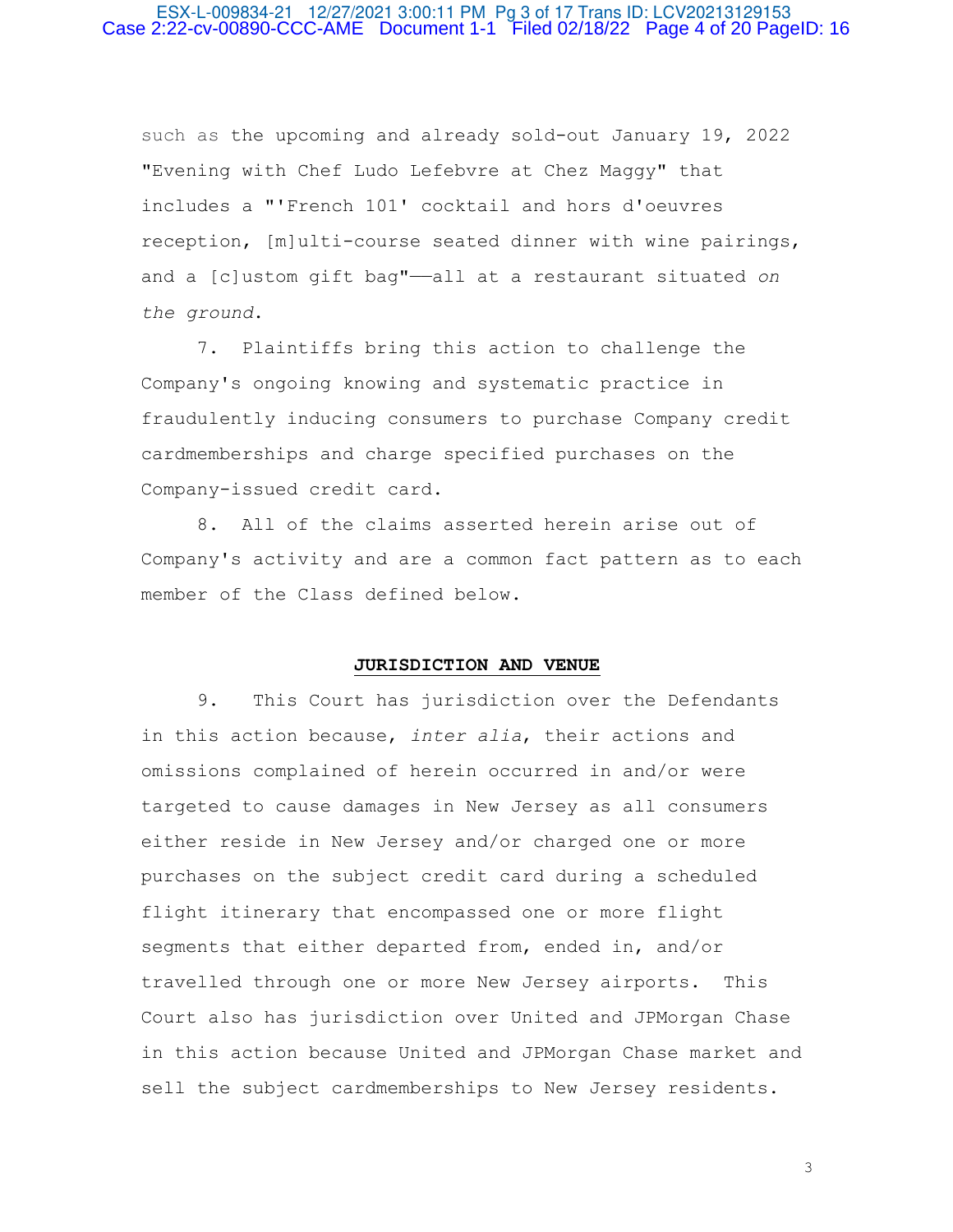## ESX-L-009834-21 12/27/2021 3:00:11 PM Pg 3 of 17 Trans ID: LCV20213129153 Case 2:22-cv-00890-CCC-AME Document 1-1 Filed 02/18/22 Page 4 of 20 PageID: 16

such as the upcoming and already sold-out January 19, 2022 "Evening with Chef Ludo Lefebvre at Chez Maggy" that includes a "'French 101' cocktail and hors d'oeuvres reception, [m]ulti-course seated dinner with wine pairings, and a [c]ustom gift bag"——all at a restaurant situated *on the ground*.

 7. Plaintiffs bring this action to challenge the Company's ongoing knowing and systematic practice in fraudulently inducing consumers to purchase Company credit cardmemberships and charge specified purchases on the Company-issued credit card.

 8. All of the claims asserted herein arise out of Company's activity and are a common fact pattern as to each member of the Class defined below.

## **JURISDICTION AND VENUE**

 9. This Court has jurisdiction over the Defendants in this action because, *inter alia*, their actions and omissions complained of herein occurred in and/or were targeted to cause damages in New Jersey as all consumers either reside in New Jersey and/or charged one or more purchases on the subject credit card during a scheduled flight itinerary that encompassed one or more flight segments that either departed from, ended in, and/or travelled through one or more New Jersey airports. This Court also has jurisdiction over United and JPMorgan Chase in this action because United and JPMorgan Chase market and sell the subject cardmemberships to New Jersey residents.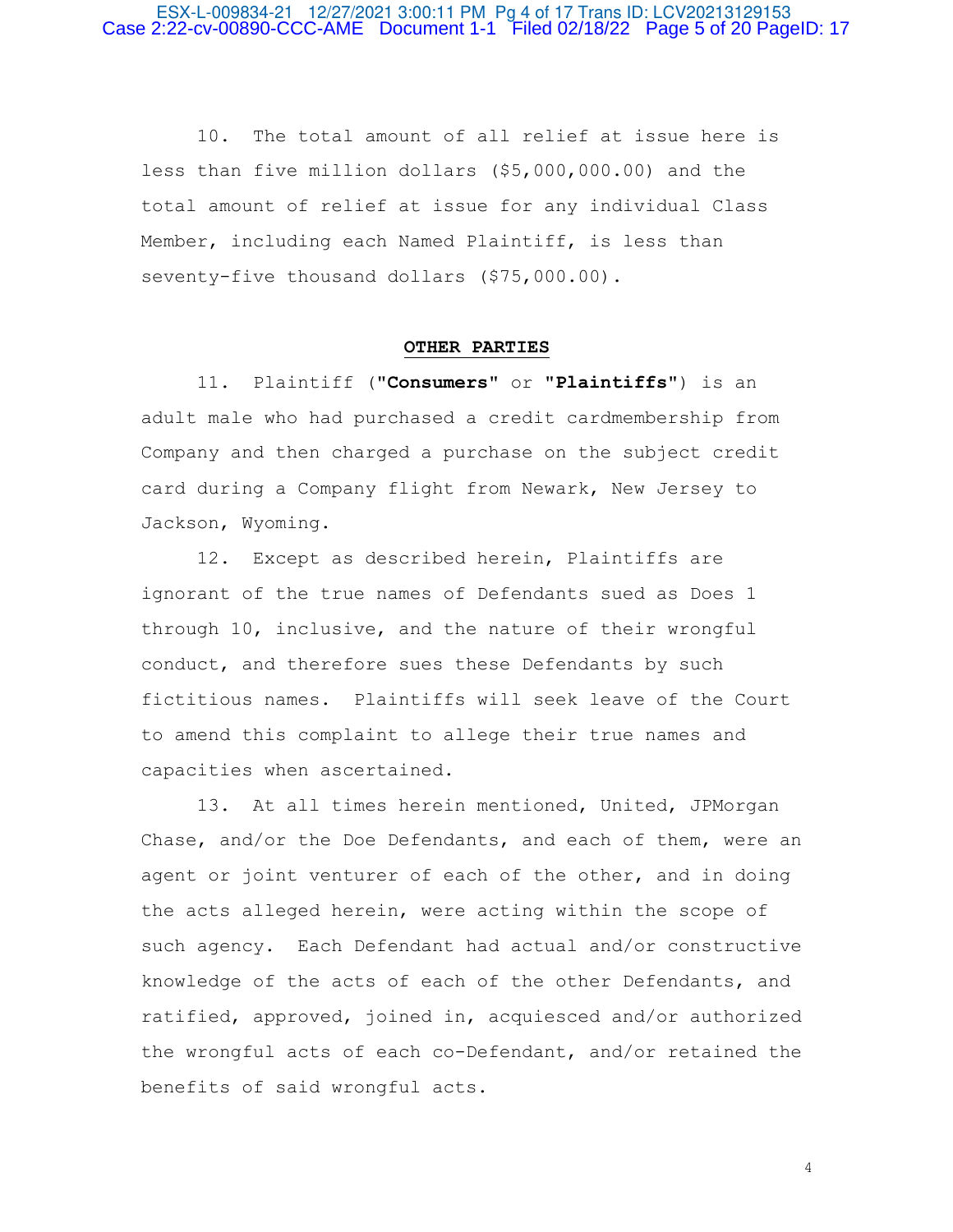10. The total amount of all relief at issue here is less than five million dollars (\$5,000,000.00) and the total amount of relief at issue for any individual Class Member, including each Named Plaintiff, is less than seventy-five thousand dollars (\$75,000.00).

## **OTHER PARTIES**

 11. Plaintiff ("**Consumers**" or "**Plaintiffs**") is an adult male who had purchased a credit cardmembership from Company and then charged a purchase on the subject credit card during a Company flight from Newark, New Jersey to Jackson, Wyoming.

 12. Except as described herein, Plaintiffs are ignorant of the true names of Defendants sued as Does 1 through 10, inclusive, and the nature of their wrongful conduct, and therefore sues these Defendants by such fictitious names. Plaintiffs will seek leave of the Court to amend this complaint to allege their true names and capacities when ascertained.

 13. At all times herein mentioned, United, JPMorgan Chase, and/or the Doe Defendants, and each of them, were an agent or joint venturer of each of the other, and in doing the acts alleged herein, were acting within the scope of such agency. Each Defendant had actual and/or constructive knowledge of the acts of each of the other Defendants, and ratified, approved, joined in, acquiesced and/or authorized the wrongful acts of each co-Defendant, and/or retained the benefits of said wrongful acts.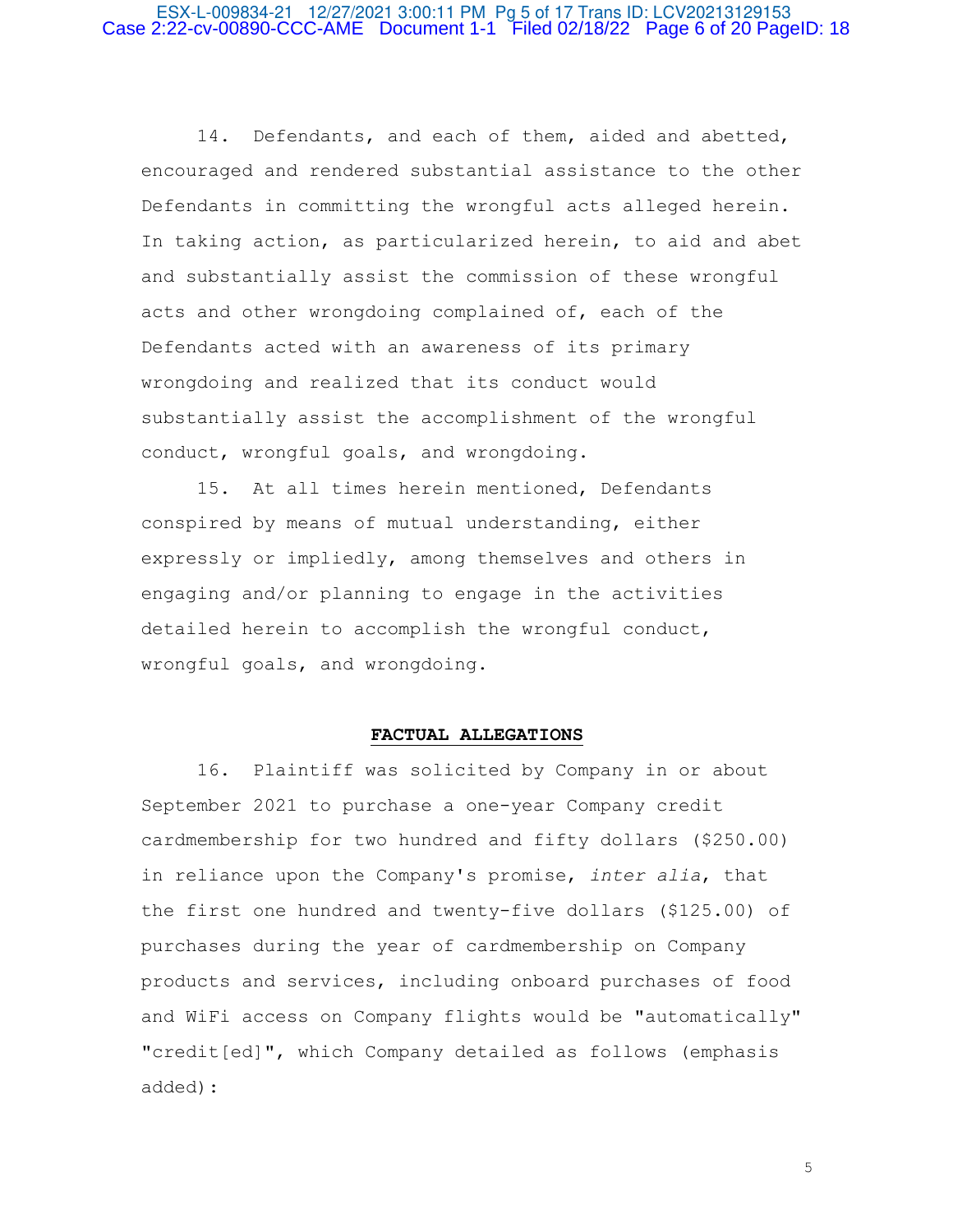## ESX-L-009834-21 12/27/2021 3:00:11 PM Pg 5 of 17 Trans ID: LCV20213129153 Case 2:22-cv-00890-CCC-AME Document 1-1 Filed 02/18/22 Page 6 of 20 PageID: 18

 14. Defendants, and each of them, aided and abetted, encouraged and rendered substantial assistance to the other Defendants in committing the wrongful acts alleged herein. In taking action, as particularized herein, to aid and abet and substantially assist the commission of these wrongful acts and other wrongdoing complained of, each of the Defendants acted with an awareness of its primary wrongdoing and realized that its conduct would substantially assist the accomplishment of the wrongful conduct, wrongful goals, and wrongdoing.

 15. At all times herein mentioned, Defendants conspired by means of mutual understanding, either expressly or impliedly, among themselves and others in engaging and/or planning to engage in the activities detailed herein to accomplish the wrongful conduct, wrongful goals, and wrongdoing.

### **FACTUAL ALLEGATIONS**

 16. Plaintiff was solicited by Company in or about September 2021 to purchase a one-year Company credit cardmembership for two hundred and fifty dollars (\$250.00) in reliance upon the Company's promise, *inter alia*, that the first one hundred and twenty-five dollars (\$125.00) of purchases during the year of cardmembership on Company products and services, including onboard purchases of food and WiFi access on Company flights would be "automatically" "credit[ed]", which Company detailed as follows (emphasis added):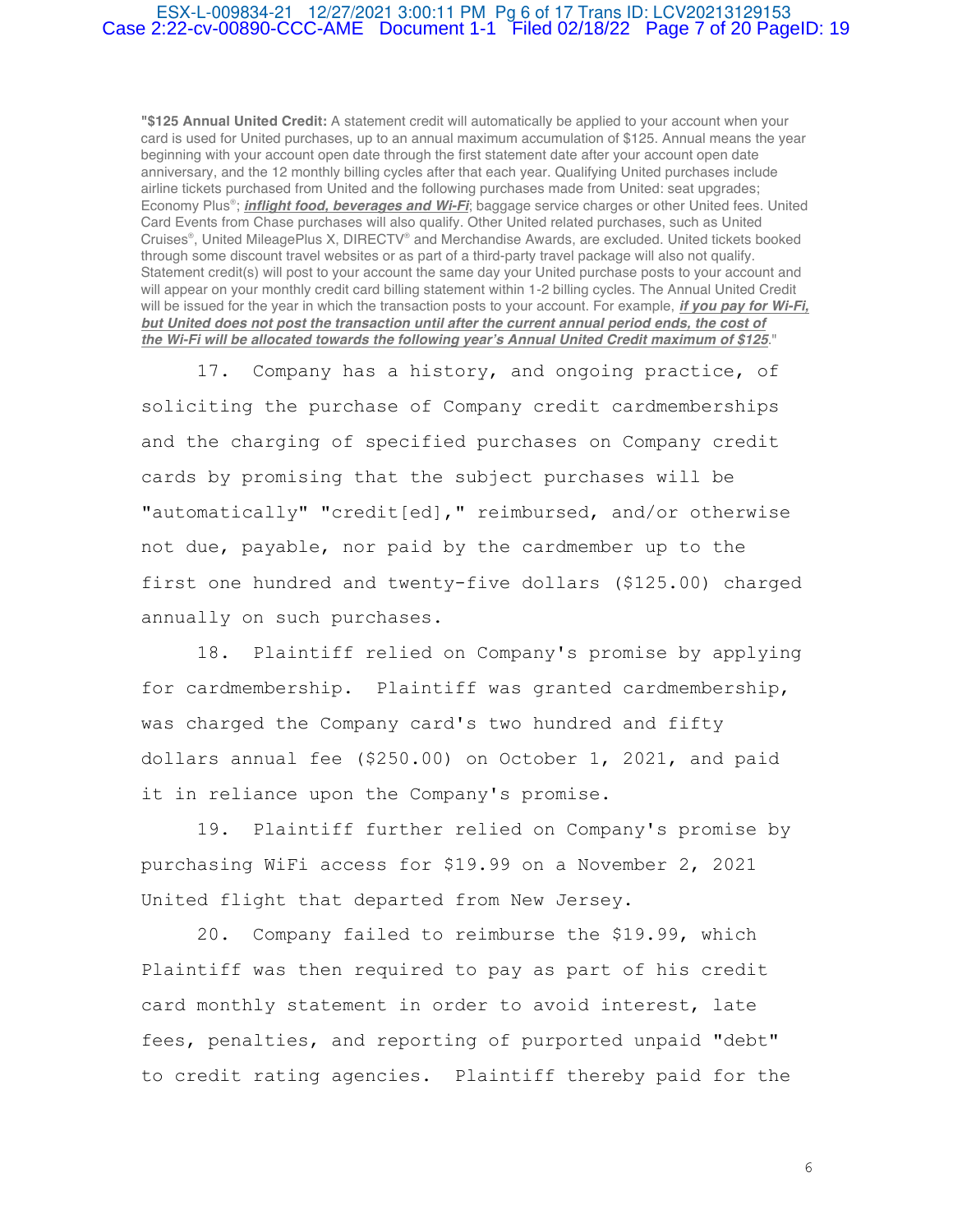## ESX-L-009834-21 12/27/2021 3:00:11 PM Pg 6 of 17 Trans ID: LCV20213129153 Case 2:22-cv-00890-CCC-AME Document 1-1 Filed 02/18/22 Page 7 of 20 PageID: 19

**"\$125 Annual United Credit:** A statement credit will automatically be applied to your account when your card is used for United purchases, up to an annual maximum accumulation of \$125. Annual means the year beginning with your account open date through the first statement date after your account open date anniversary, and the 12 monthly billing cycles after that each year. Qualifying United purchases include airline tickets purchased from United and the following purchases made from United: seat upgrades; Economy Plus® ; **inflight food, beverages and Wi-Fi**; baggage service charges or other United fees. United Card Events from Chase purchases will also qualify. Other United related purchases, such as United Cruises® , United MileagePlus X, DIRECTV® and Merchandise Awards, are excluded. United tickets booked through some discount travel websites or as part of a third-party travel package will also not qualify. Statement credit(s) will post to your account the same day your United purchase posts to your account and will appear on your monthly credit card billing statement within 1-2 billing cycles. The Annual United Credit will be issued for the year in which the transaction posts to your account. For example, **if you pay for Wi-Fi, but United does not post the transaction until after the current annual period ends, the cost of the Wi-Fi will be allocated towards the following year's Annual United Credit maximum of \$125**."

 17. Company has a history, and ongoing practice, of soliciting the purchase of Company credit cardmemberships and the charging of specified purchases on Company credit cards by promising that the subject purchases will be "automatically" "credit[ed]," reimbursed, and/or otherwise not due, payable, nor paid by the cardmember up to the first one hundred and twenty-five dollars (\$125.00) charged annually on such purchases.

 18. Plaintiff relied on Company's promise by applying for cardmembership. Plaintiff was granted cardmembership, was charged the Company card's two hundred and fifty dollars annual fee (\$250.00) on October 1, 2021, and paid it in reliance upon the Company's promise.

 19. Plaintiff further relied on Company's promise by purchasing WiFi access for \$19.99 on a November 2, 2021 United flight that departed from New Jersey.

 20. Company failed to reimburse the \$19.99, which Plaintiff was then required to pay as part of his credit card monthly statement in order to avoid interest, late fees, penalties, and reporting of purported unpaid "debt" to credit rating agencies. Plaintiff thereby paid for the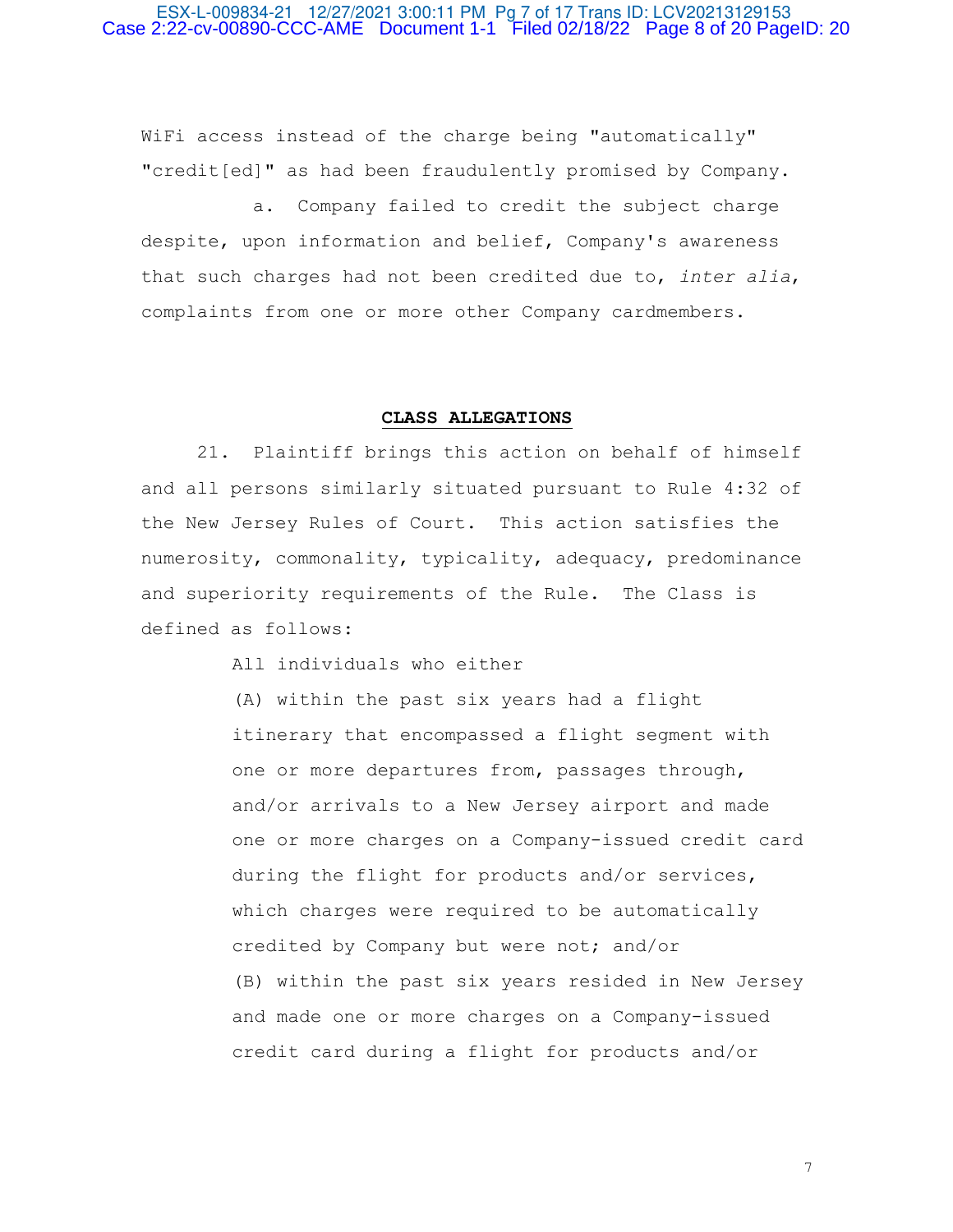## ESX-L-009834-21 12/27/2021 3:00:11 PM Pg 7 of 17 Trans ID: LCV20213129153 Case 2:22-cv-00890-CCC-AME Document 1-1 Filed 02/18/22 Page 8 of 20 PageID: 20

WiFi access instead of the charge being "automatically" "credit[ed]" as had been fraudulently promised by Company.

 a. Company failed to credit the subject charge despite, upon information and belief, Company's awareness that such charges had not been credited due to, *inter alia*, complaints from one or more other Company cardmembers.

## **CLASS ALLEGATIONS**

 21. Plaintiff brings this action on behalf of himself and all persons similarly situated pursuant to Rule 4:32 of the New Jersey Rules of Court. This action satisfies the numerosity, commonality, typicality, adequacy, predominance and superiority requirements of the Rule. The Class is defined as follows:

All individuals who either

(A) within the past six years had a flight itinerary that encompassed a flight segment with one or more departures from, passages through, and/or arrivals to a New Jersey airport and made one or more charges on a Company-issued credit card during the flight for products and/or services, which charges were required to be automatically credited by Company but were not; and/or (B) within the past six years resided in New Jersey and made one or more charges on a Company-issued credit card during a flight for products and/or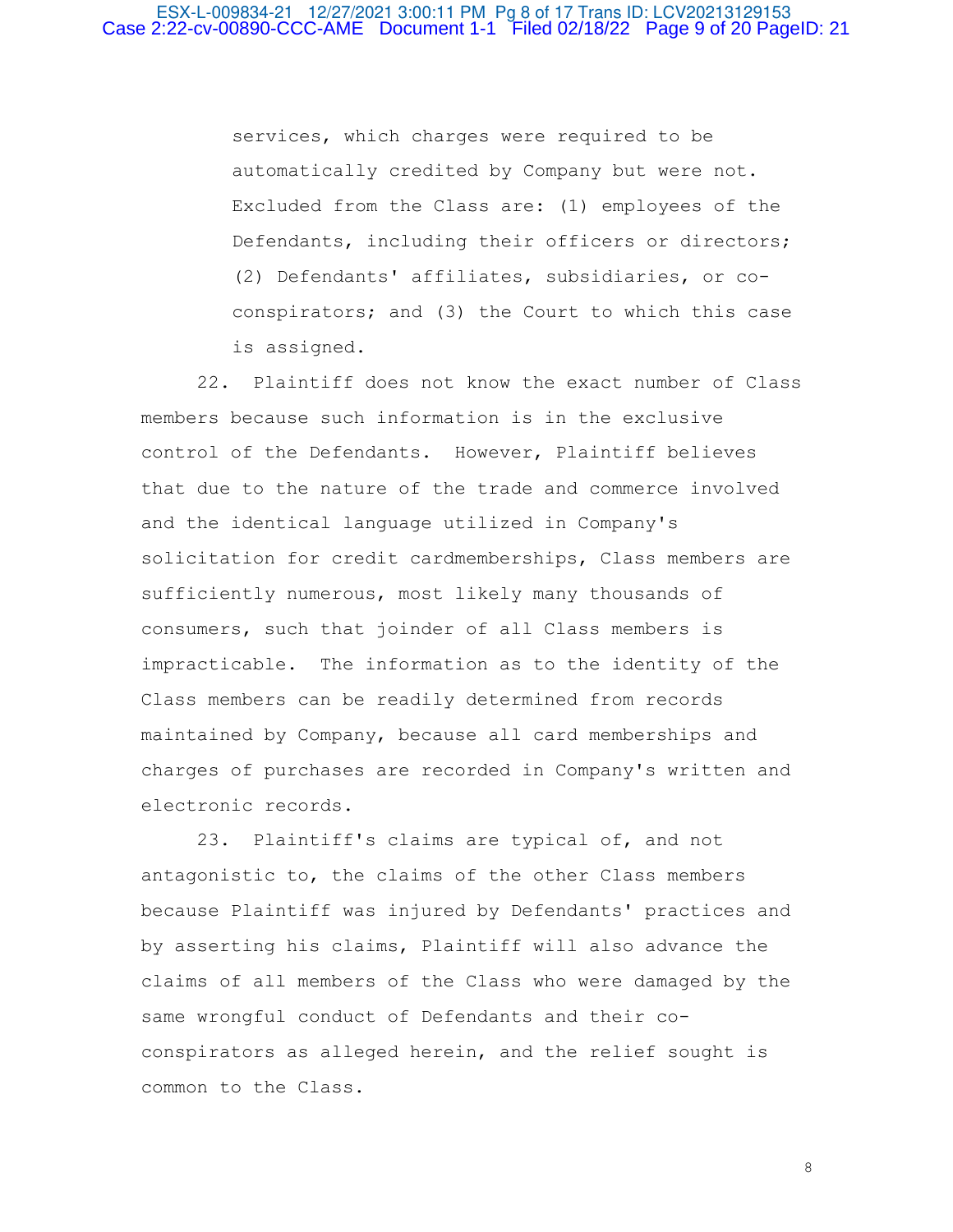services, which charges were required to be automatically credited by Company but were not. Excluded from the Class are: (1) employees of the Defendants, including their officers or directors; (2) Defendants' affiliates, subsidiaries, or coconspirators; and (3) the Court to which this case is assigned.

 22. Plaintiff does not know the exact number of Class members because such information is in the exclusive control of the Defendants. However, Plaintiff believes that due to the nature of the trade and commerce involved and the identical language utilized in Company's solicitation for credit cardmemberships, Class members are sufficiently numerous, most likely many thousands of consumers, such that joinder of all Class members is impracticable. The information as to the identity of the Class members can be readily determined from records maintained by Company, because all card memberships and charges of purchases are recorded in Company's written and electronic records.

 23. Plaintiff's claims are typical of, and not antagonistic to, the claims of the other Class members because Plaintiff was injured by Defendants' practices and by asserting his claims, Plaintiff will also advance the claims of all members of the Class who were damaged by the same wrongful conduct of Defendants and their coconspirators as alleged herein, and the relief sought is common to the Class.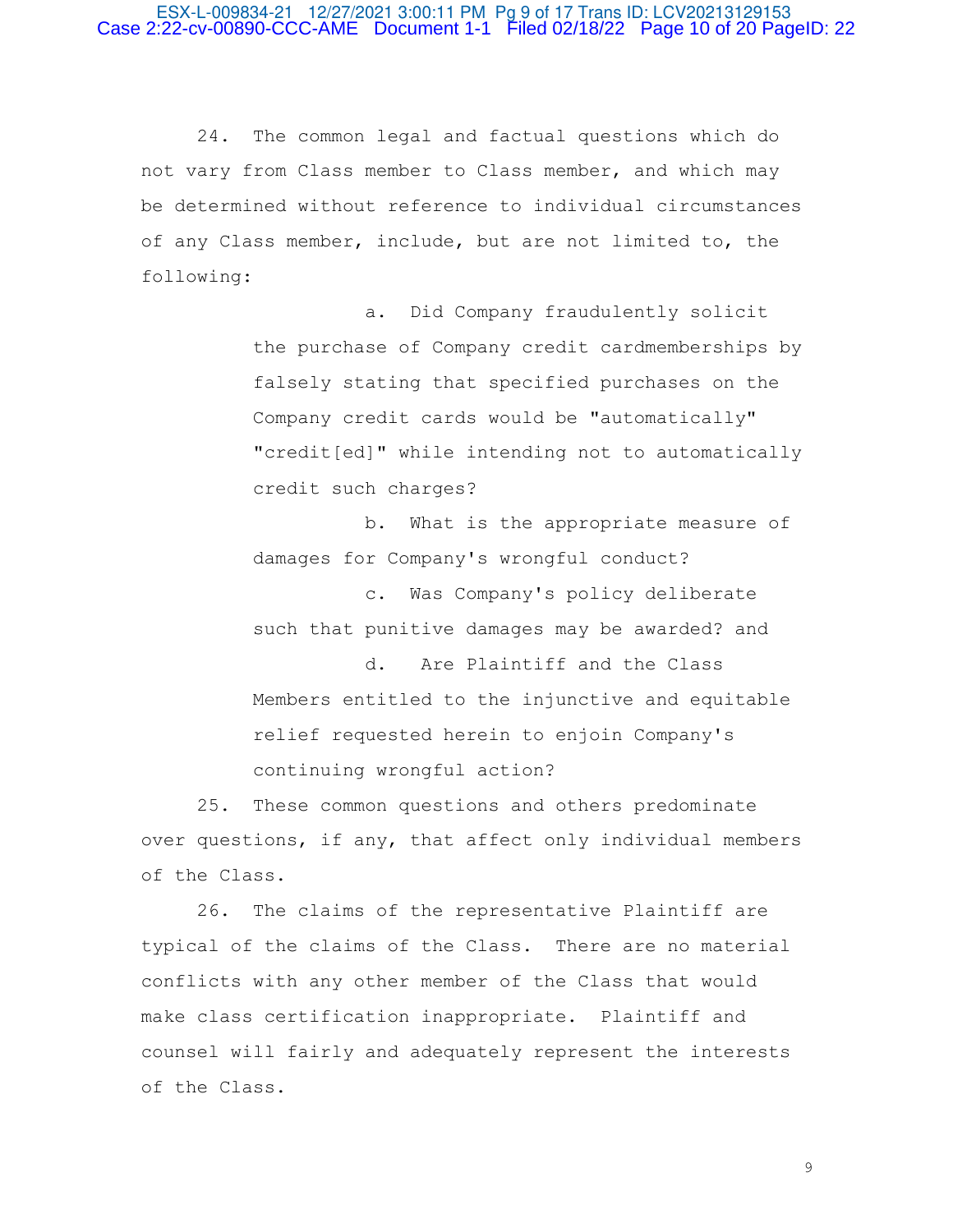## ESX-L-009834-21 12/27/2021 3:00:11 PM Pg 9 of 17 Trans ID: LCV20213129153 Case 2:22-cv-00890-CCC-AME Document 1-1 Filed 02/18/22 Page 10 of 20 PageID: 22

 24. The common legal and factual questions which do not vary from Class member to Class member, and which may be determined without reference to individual circumstances of any Class member, include, but are not limited to, the following:

> a. Did Company fraudulently solicit the purchase of Company credit cardmemberships by falsely stating that specified purchases on the Company credit cards would be "automatically" "credit[ed]" while intending not to automatically credit such charges?

 b. What is the appropriate measure of damages for Company's wrongful conduct?

 c. Was Company's policy deliberate such that punitive damages may be awarded? and

 d. Are Plaintiff and the Class Members entitled to the injunctive and equitable relief requested herein to enjoin Company's continuing wrongful action?

 25. These common questions and others predominate over questions, if any, that affect only individual members of the Class.

 26. The claims of the representative Plaintiff are typical of the claims of the Class. There are no material conflicts with any other member of the Class that would make class certification inappropriate. Plaintiff and counsel will fairly and adequately represent the interests of the Class.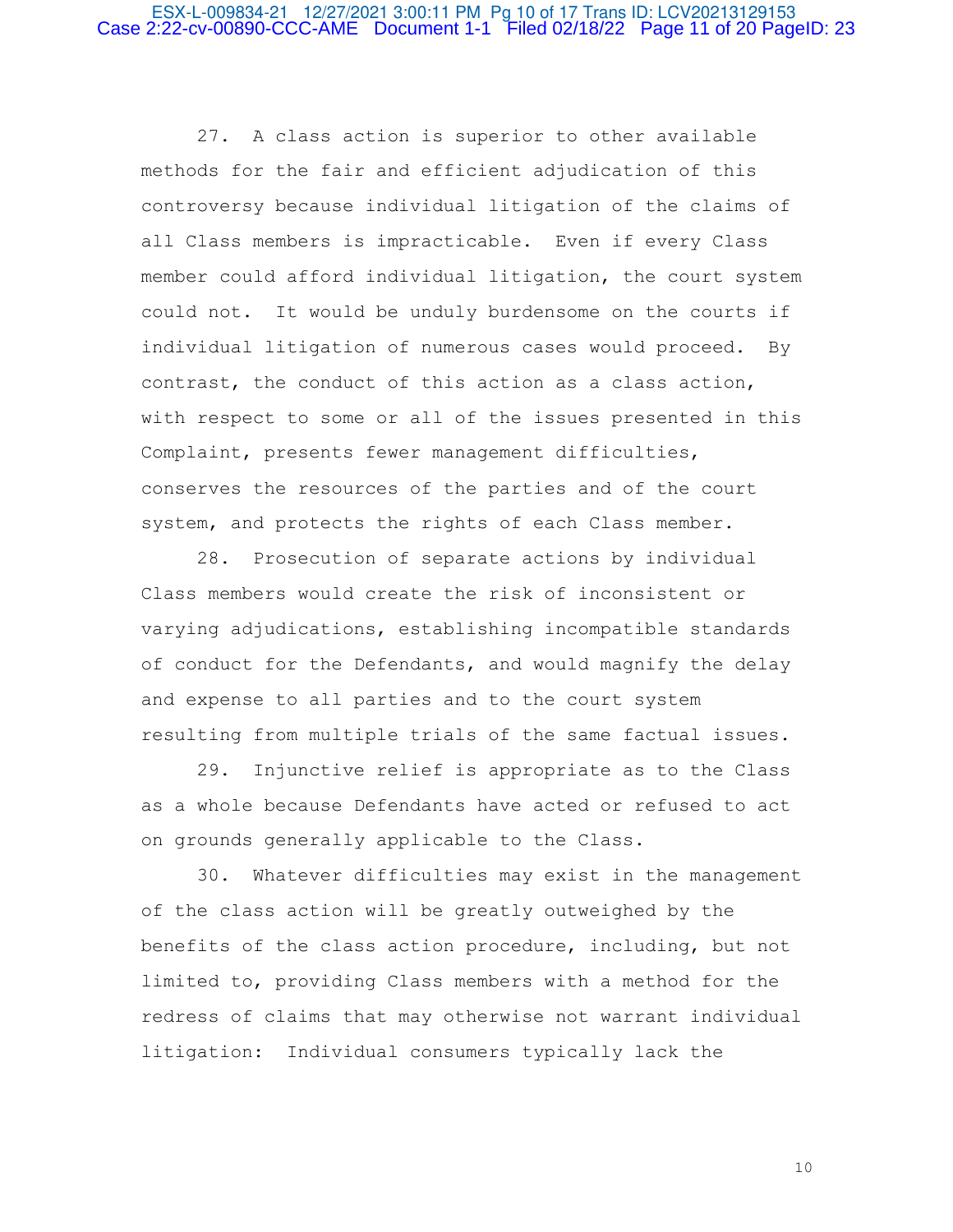## ESX-L-009834-21 12/27/2021 3:00:11 PM Pg 10 of 17 Trans ID: LCV20213129153 Case 2:22-cv-00890-CCC-AME Document 1-1 Filed 02/18/22 Page 11 of 20 PageID: 23

 27. A class action is superior to other available methods for the fair and efficient adjudication of this controversy because individual litigation of the claims of all Class members is impracticable. Even if every Class member could afford individual litigation, the court system could not. It would be unduly burdensome on the courts if individual litigation of numerous cases would proceed. By contrast, the conduct of this action as a class action, with respect to some or all of the issues presented in this Complaint, presents fewer management difficulties, conserves the resources of the parties and of the court system, and protects the rights of each Class member.

 28. Prosecution of separate actions by individual Class members would create the risk of inconsistent or varying adjudications, establishing incompatible standards of conduct for the Defendants, and would magnify the delay and expense to all parties and to the court system resulting from multiple trials of the same factual issues.

 29. Injunctive relief is appropriate as to the Class as a whole because Defendants have acted or refused to act on grounds generally applicable to the Class.

 30. Whatever difficulties may exist in the management of the class action will be greatly outweighed by the benefits of the class action procedure, including, but not limited to, providing Class members with a method for the redress of claims that may otherwise not warrant individual litigation: Individual consumers typically lack the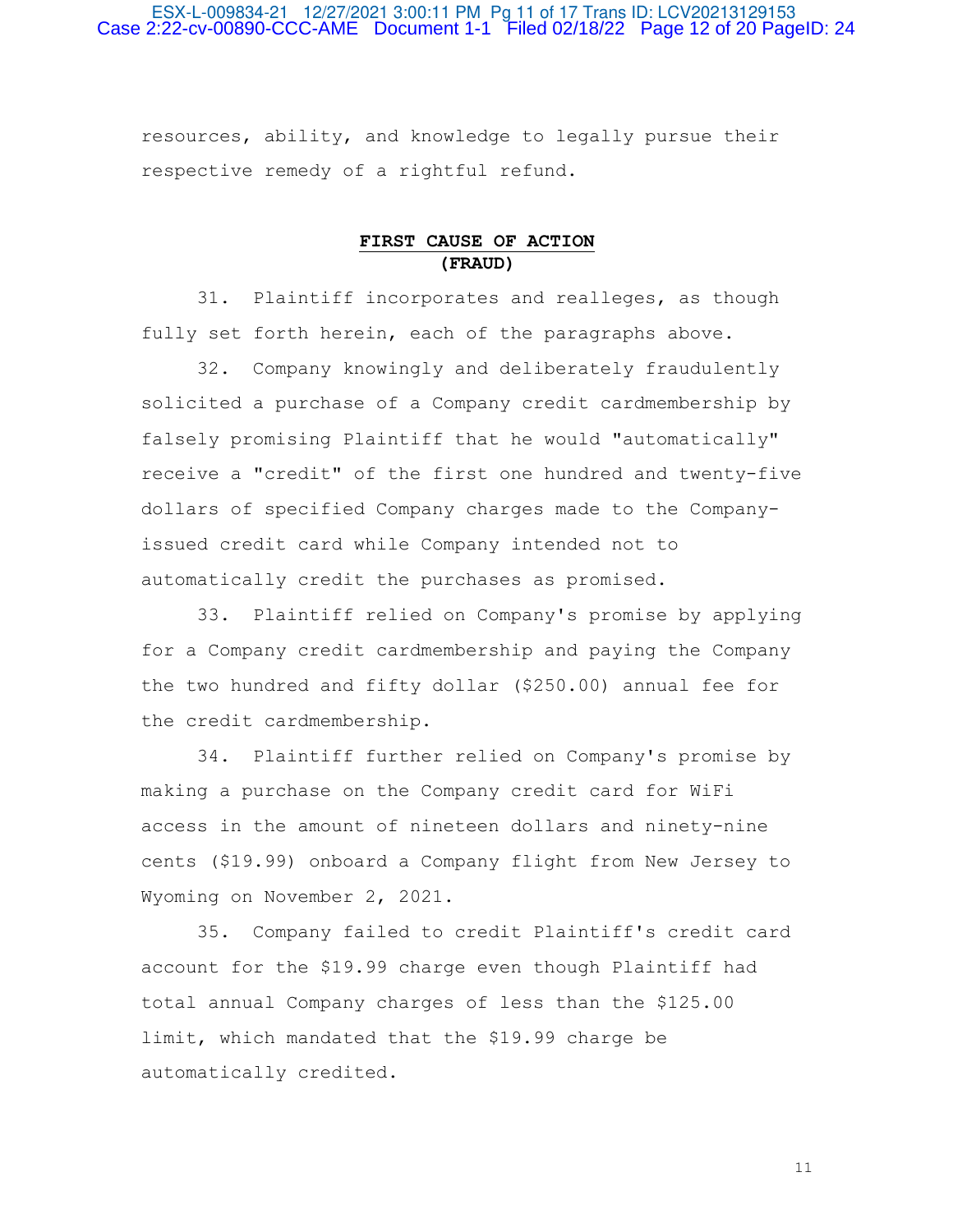## ESX-L-009834-21 12/27/2021 3:00:11 PM Pg 11 of 17 Trans ID: LCV20213129153 Case 2:22-cv-00890-CCC-AME Document 1-1 Filed 02/18/22 Page 12 of 20 PageID: 24

resources, ability, and knowledge to legally pursue their respective remedy of a rightful refund.

# **FIRST CAUSE OF ACTION (FRAUD)**

 31. Plaintiff incorporates and realleges, as though fully set forth herein, each of the paragraphs above.

 32. Company knowingly and deliberately fraudulently solicited a purchase of a Company credit cardmembership by falsely promising Plaintiff that he would "automatically" receive a "credit" of the first one hundred and twenty-five dollars of specified Company charges made to the Companyissued credit card while Company intended not to automatically credit the purchases as promised.

 33. Plaintiff relied on Company's promise by applying for a Company credit cardmembership and paying the Company the two hundred and fifty dollar (\$250.00) annual fee for the credit cardmembership.

 34. Plaintiff further relied on Company's promise by making a purchase on the Company credit card for WiFi access in the amount of nineteen dollars and ninety-nine cents (\$19.99) onboard a Company flight from New Jersey to Wyoming on November 2, 2021.

 35. Company failed to credit Plaintiff's credit card account for the \$19.99 charge even though Plaintiff had total annual Company charges of less than the \$125.00 limit, which mandated that the \$19.99 charge be automatically credited.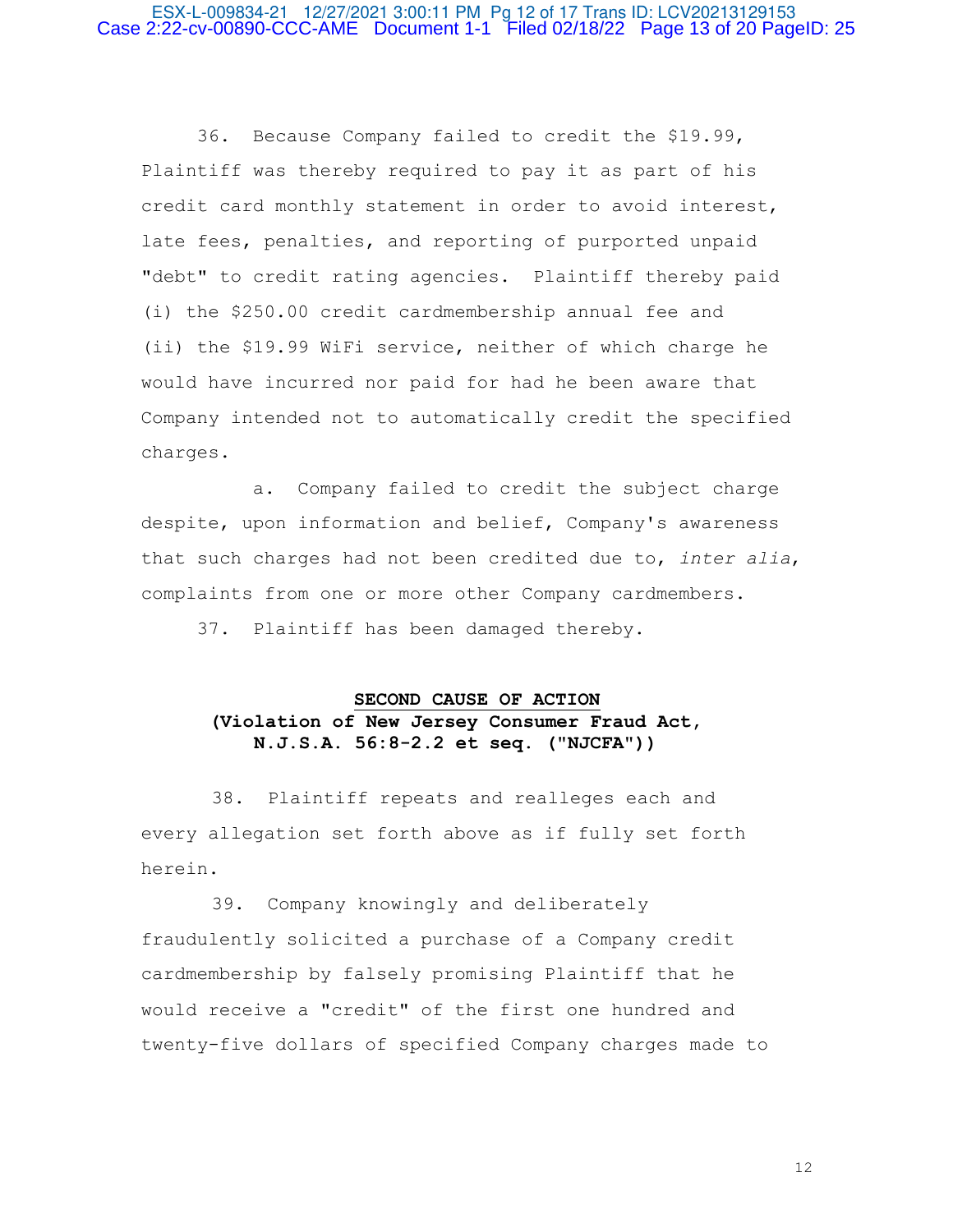## ESX-L-009834-21 12/27/2021 3:00:11 PM Pg 12 of 17 Trans ID: LCV20213129153 Case 2:22-cv-00890-CCC-AME Document 1-1 Filed 02/18/22 Page 13 of 20 PageID: 25

 36. Because Company failed to credit the \$19.99, Plaintiff was thereby required to pay it as part of his credit card monthly statement in order to avoid interest, late fees, penalties, and reporting of purported unpaid "debt" to credit rating agencies. Plaintiff thereby paid (i) the \$250.00 credit cardmembership annual fee and (ii) the \$19.99 WiFi service, neither of which charge he would have incurred nor paid for had he been aware that Company intended not to automatically credit the specified charges.

 a. Company failed to credit the subject charge despite, upon information and belief, Company's awareness that such charges had not been credited due to, *inter alia*, complaints from one or more other Company cardmembers.

37. Plaintiff has been damaged thereby.

# **SECOND CAUSE OF ACTION (Violation of New Jersey Consumer Fraud Act, N.J.S.A. 56:8-2.2 et seq. ("NJCFA"))**

38. Plaintiff repeats and realleges each and every allegation set forth above as if fully set forth herein.

39. Company knowingly and deliberately fraudulently solicited a purchase of a Company credit cardmembership by falsely promising Plaintiff that he would receive a "credit" of the first one hundred and twenty-five dollars of specified Company charges made to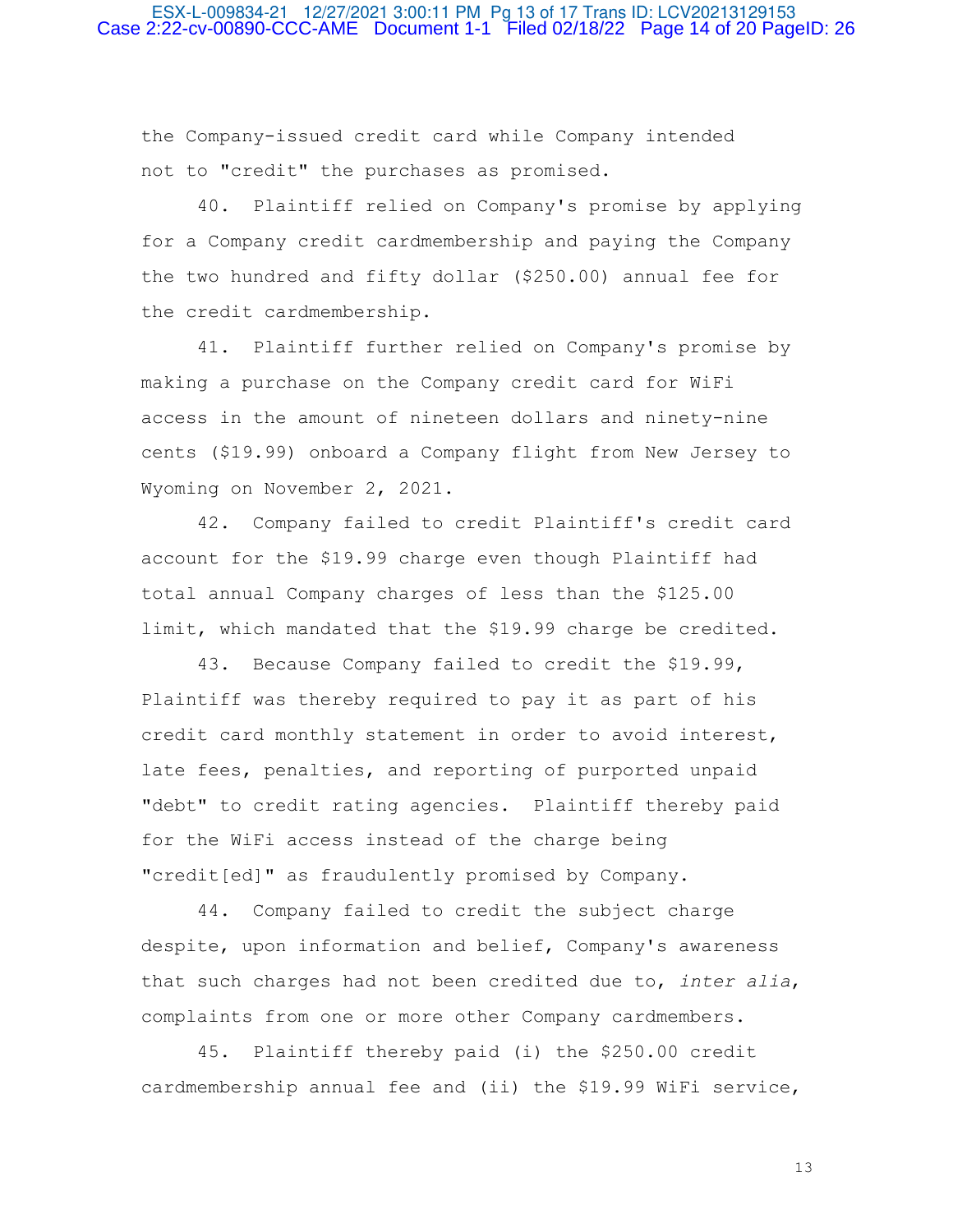## ESX-L-009834-21 12/27/2021 3:00:11 PM Pg 13 of 17 Trans ID: LCV20213129153 Case 2:22-cv-00890-CCC-AME Document 1-1 Filed 02/18/22 Page 14 of 20 PageID: 26

the Company-issued credit card while Company intended not to "credit" the purchases as promised.

 40. Plaintiff relied on Company's promise by applying for a Company credit cardmembership and paying the Company the two hundred and fifty dollar (\$250.00) annual fee for the credit cardmembership.

 41. Plaintiff further relied on Company's promise by making a purchase on the Company credit card for WiFi access in the amount of nineteen dollars and ninety-nine cents (\$19.99) onboard a Company flight from New Jersey to Wyoming on November 2, 2021.

 42. Company failed to credit Plaintiff's credit card account for the \$19.99 charge even though Plaintiff had total annual Company charges of less than the \$125.00 limit, which mandated that the \$19.99 charge be credited.

 43. Because Company failed to credit the \$19.99, Plaintiff was thereby required to pay it as part of his credit card monthly statement in order to avoid interest, late fees, penalties, and reporting of purported unpaid "debt" to credit rating agencies. Plaintiff thereby paid for the WiFi access instead of the charge being "credit[ed]" as fraudulently promised by Company.

 44. Company failed to credit the subject charge despite, upon information and belief, Company's awareness that such charges had not been credited due to, *inter alia*, complaints from one or more other Company cardmembers.

 45. Plaintiff thereby paid (i) the \$250.00 credit cardmembership annual fee and (ii) the \$19.99 WiFi service,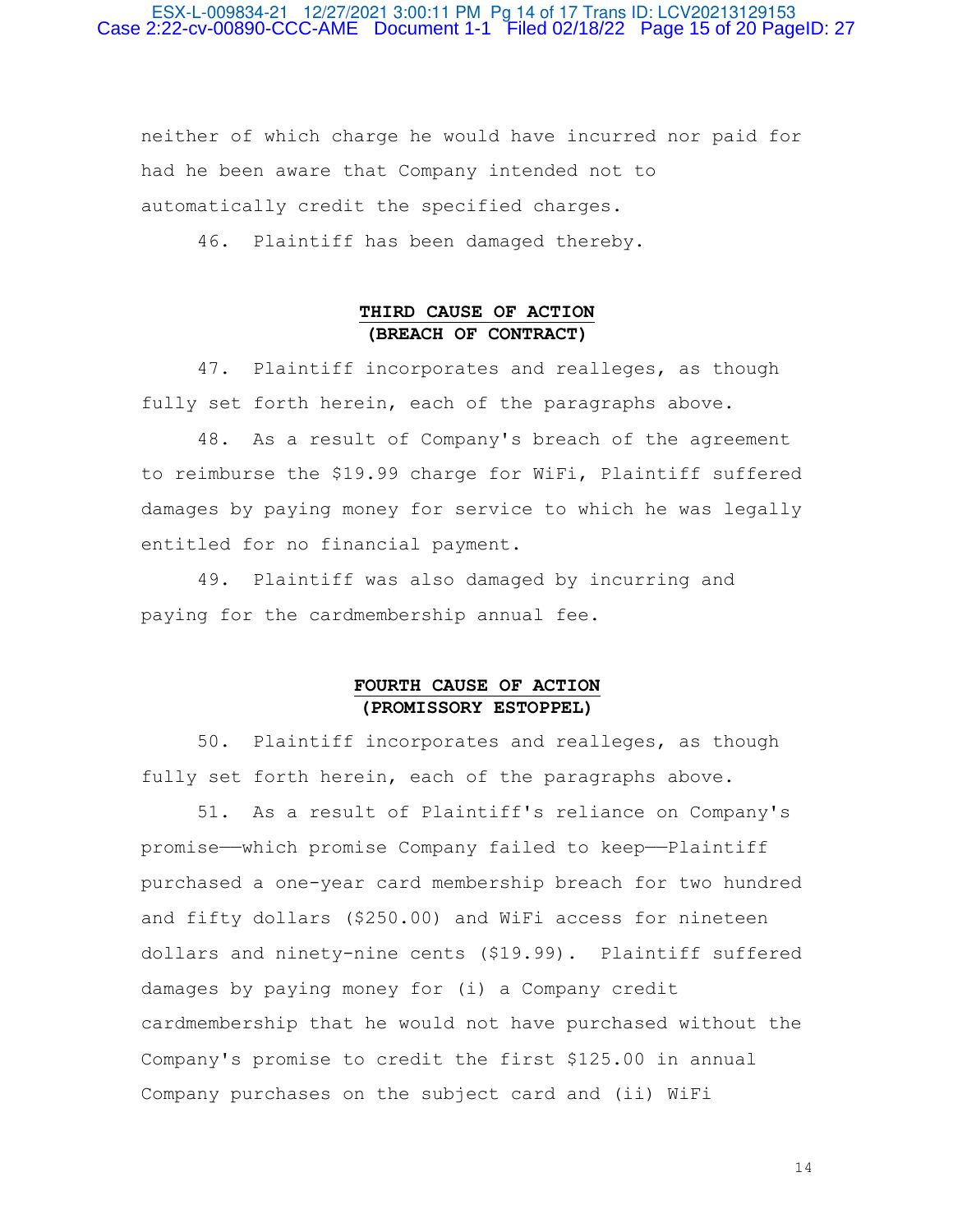## ESX-L-009834-21 12/27/2021 3:00:11 PM Pg 14 of 17 Trans ID: LCV20213129153 Case 2:22-cv-00890-CCC-AME Document 1-1 Filed 02/18/22 Page 15 of 20 PageID: 27

neither of which charge he would have incurred nor paid for had he been aware that Company intended not to automatically credit the specified charges.

46. Plaintiff has been damaged thereby.

# **THIRD CAUSE OF ACTION (BREACH OF CONTRACT)**

 47. Plaintiff incorporates and realleges, as though fully set forth herein, each of the paragraphs above.

 48. As a result of Company's breach of the agreement to reimburse the \$19.99 charge for WiFi, Plaintiff suffered damages by paying money for service to which he was legally entitled for no financial payment.

 49. Plaintiff was also damaged by incurring and paying for the cardmembership annual fee.

# **FOURTH CAUSE OF ACTION (PROMISSORY ESTOPPEL)**

 50. Plaintiff incorporates and realleges, as though fully set forth herein, each of the paragraphs above.

 51. As a result of Plaintiff's reliance on Company's promise——which promise Company failed to keep——Plaintiff purchased a one-year card membership breach for two hundred and fifty dollars (\$250.00) and WiFi access for nineteen dollars and ninety-nine cents (\$19.99). Plaintiff suffered damages by paying money for (i) a Company credit cardmembership that he would not have purchased without the Company's promise to credit the first \$125.00 in annual Company purchases on the subject card and (ii) WiFi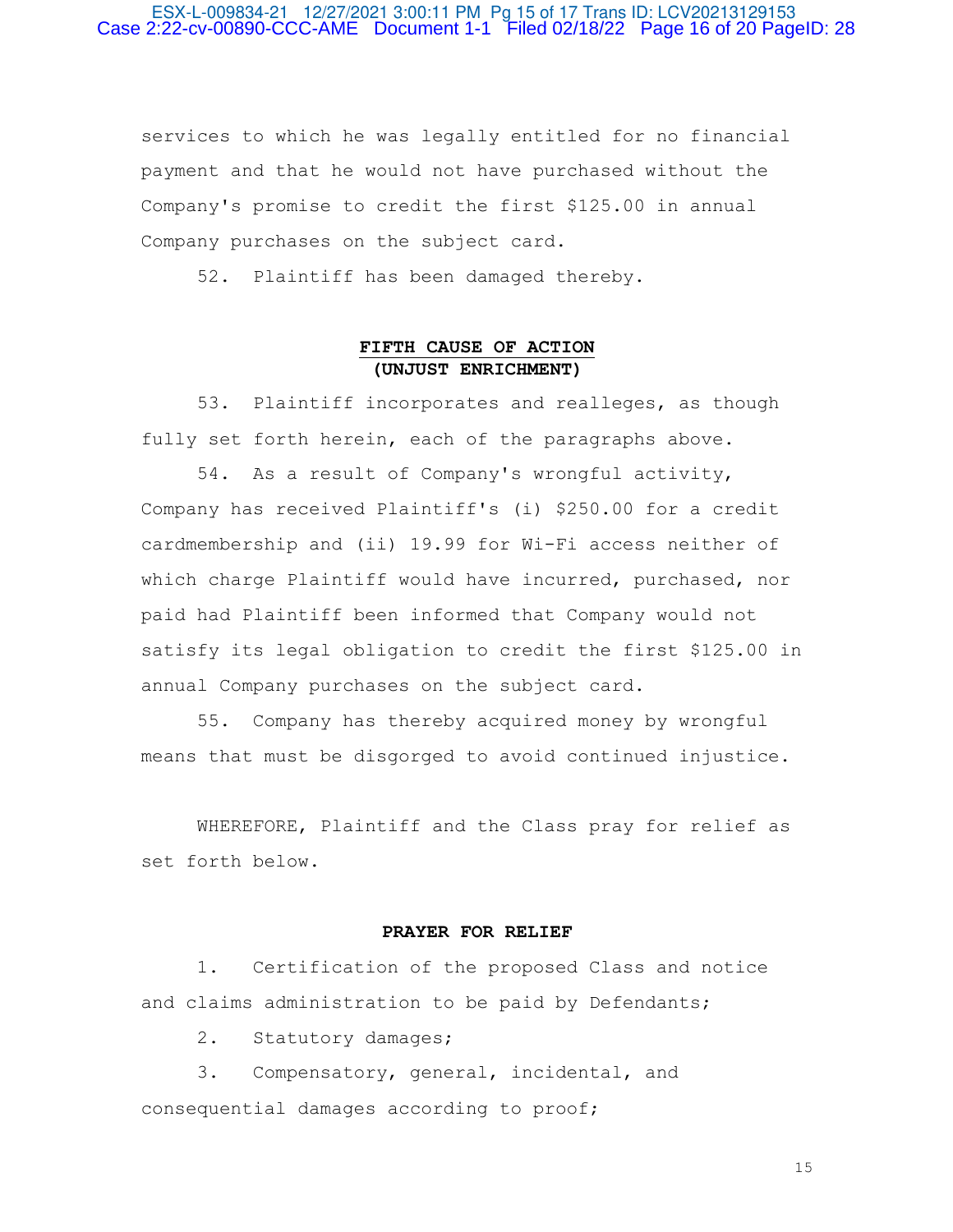## ESX-L-009834-21 12/27/2021 3:00:11 PM Pg 15 of 17 Trans ID: LCV20213129153 Case 2:22-cv-00890-CCC-AME Document 1-1 Filed 02/18/22 Page 16 of 20 PageID: 28

services to which he was legally entitled for no financial payment and that he would not have purchased without the Company's promise to credit the first \$125.00 in annual Company purchases on the subject card.

52. Plaintiff has been damaged thereby.

## **FIFTH CAUSE OF ACTION (UNJUST ENRICHMENT)**

 53. Plaintiff incorporates and realleges, as though fully set forth herein, each of the paragraphs above.

 54. As a result of Company's wrongful activity, Company has received Plaintiff's (i) \$250.00 for a credit cardmembership and (ii) 19.99 for Wi-Fi access neither of which charge Plaintiff would have incurred, purchased, nor paid had Plaintiff been informed that Company would not satisfy its legal obligation to credit the first \$125.00 in annual Company purchases on the subject card.

 55. Company has thereby acquired money by wrongful means that must be disgorged to avoid continued injustice.

 WHEREFORE, Plaintiff and the Class pray for relief as set forth below.

## **PRAYER FOR RELIEF**

 1. Certification of the proposed Class and notice and claims administration to be paid by Defendants;

2. Statutory damages;

 3. Compensatory, general, incidental, and consequential damages according to proof;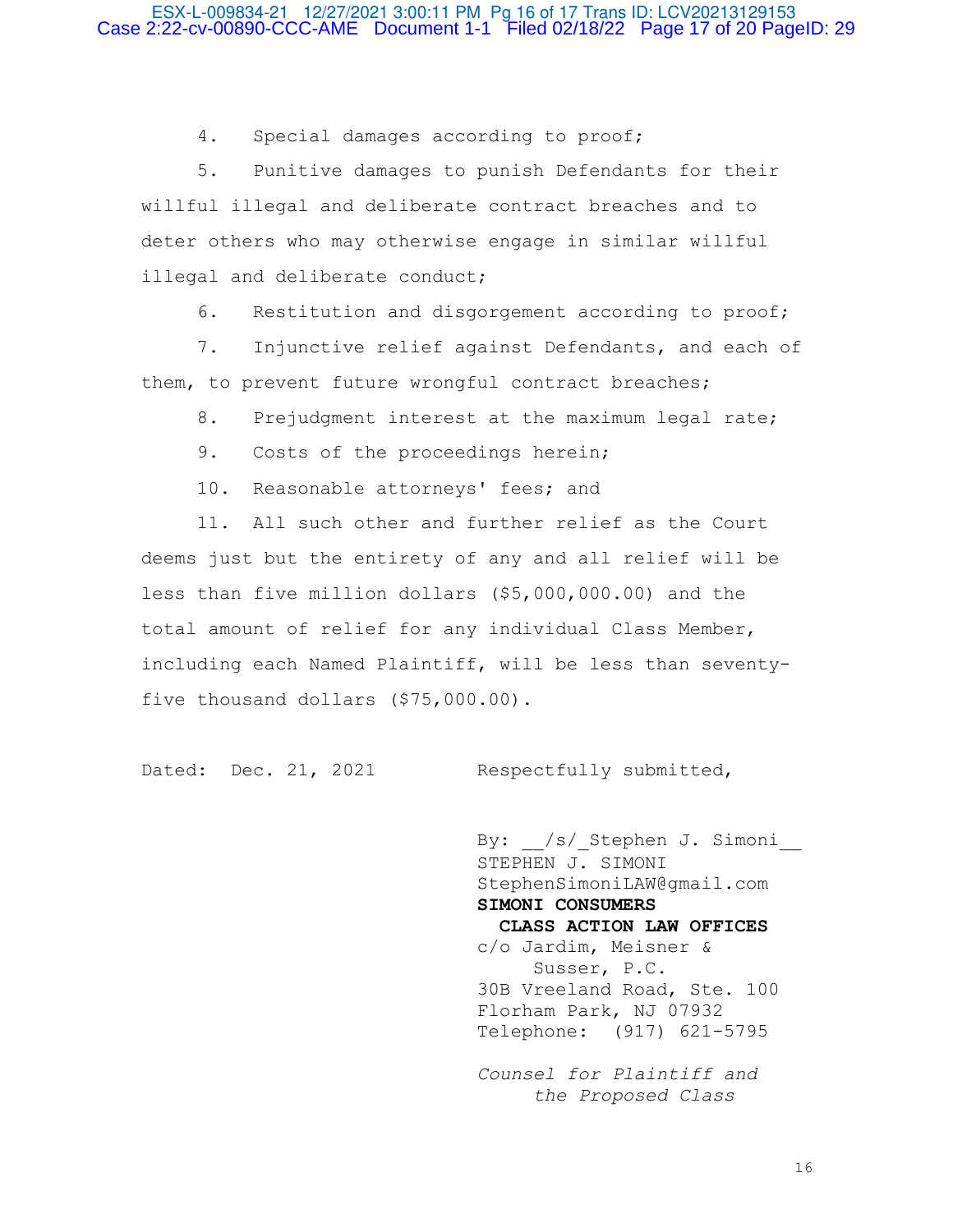## ESX-L-009834-21 12/27/2021 3:00:11 PM Pg 16 of 17 Trans ID: LCV20213129153 Case 2:22-cv-00890-CCC-AME Document 1-1 Filed 02/18/22 Page 17 of 20 PageID: 29

4. Special damages according to proof;

 5. Punitive damages to punish Defendants for their willful illegal and deliberate contract breaches and to deter others who may otherwise engage in similar willful illegal and deliberate conduct;

6. Restitution and disgorgement according to proof;

 7. Injunctive relief against Defendants, and each of them, to prevent future wrongful contract breaches;

8. Prejudgment interest at the maximum legal rate;

9. Costs of the proceedings herein;

10. Reasonable attorneys' fees; and

 11. All such other and further relief as the Court deems just but the entirety of any and all relief will be less than five million dollars (\$5,000,000.00) and the total amount of relief for any individual Class Member, including each Named Plaintiff, will be less than seventyfive thousand dollars (\$75,000.00).

Dated: Dec. 21, 2021 Respectfully submitted,

By: /s/ Stephen J. Simoni STEPHEN J. SIMONI StephenSimoniLAW@gmail.com  **SIMONI CONSUMERS CLASS ACTION LAW OFFICES** c/o Jardim, Meisner & Susser, P.C. 30B Vreeland Road, Ste. 100 Florham Park, NJ 07932 Telephone: (917) 621-5795

 *Counsel for Plaintiff and the Proposed Class*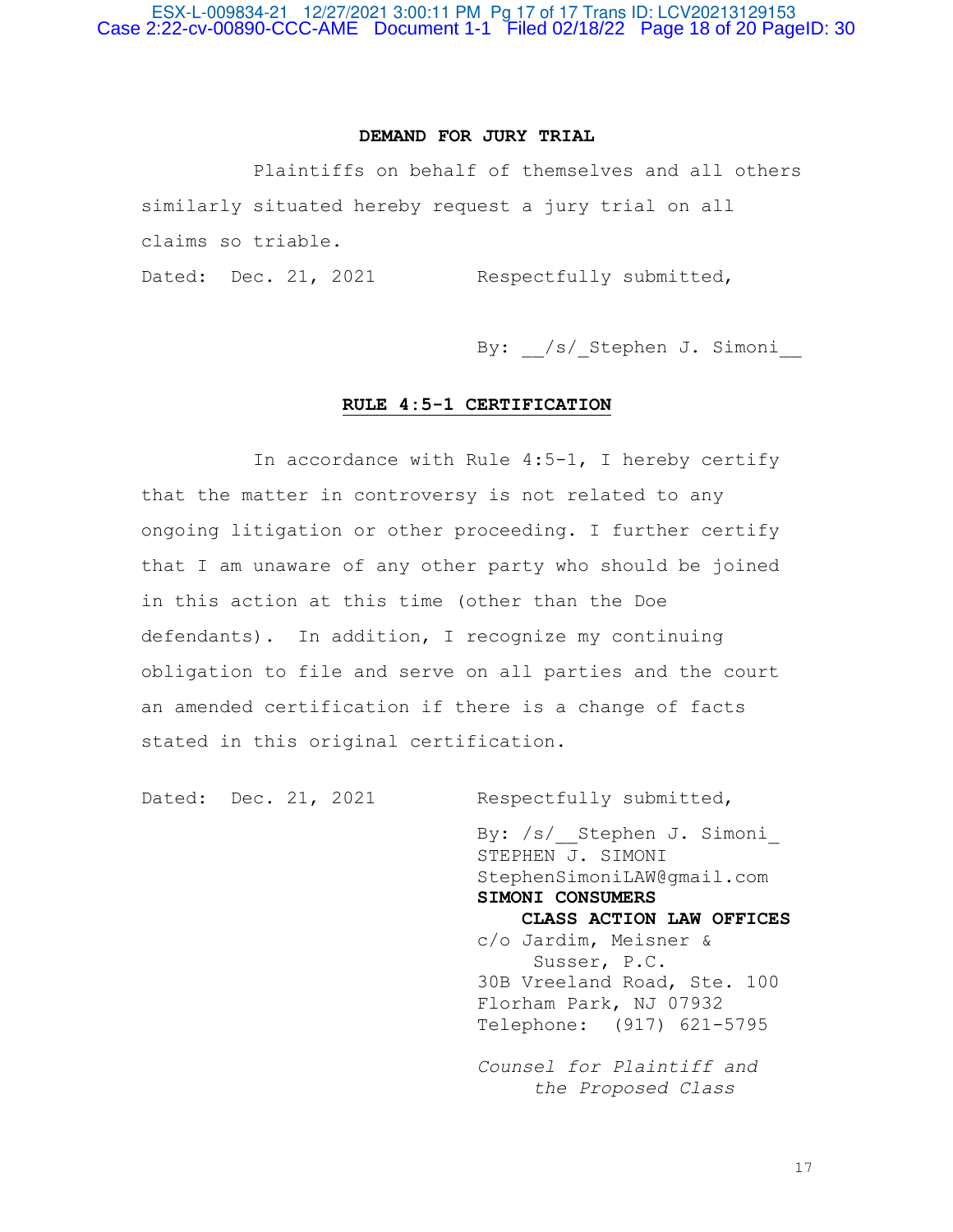## **DEMAND FOR JURY TRIAL**

 Plaintiffs on behalf of themselves and all others similarly situated hereby request a jury trial on all claims so triable.

Dated: Dec. 21, 2021 Respectfully submitted,

By: /s/ Stephen J. Simoni

# **RULE 4:5-1 CERTIFICATION**

 In accordance with Rule 4:5-1, I hereby certify that the matter in controversy is not related to any ongoing litigation or other proceeding. I further certify that I am unaware of any other party who should be joined in this action at this time (other than the Doe defendants). In addition, I recognize my continuing obligation to file and serve on all parties and the court an amended certification if there is a change of facts stated in this original certification.

Dated: Dec. 21, 2021 Respectfully submitted,

By: /s/ Stephen J. Simoni STEPHEN J. SIMONI StephenSimoniLAW@gmail.com  **SIMONI CONSUMERS CLASS ACTION LAW OFFICES** c/o Jardim, Meisner & Susser, P.C. 30B Vreeland Road, Ste. 100 Florham Park, NJ 07932 Telephone: (917) 621-5795 *Counsel for Plaintiff and the Proposed Class*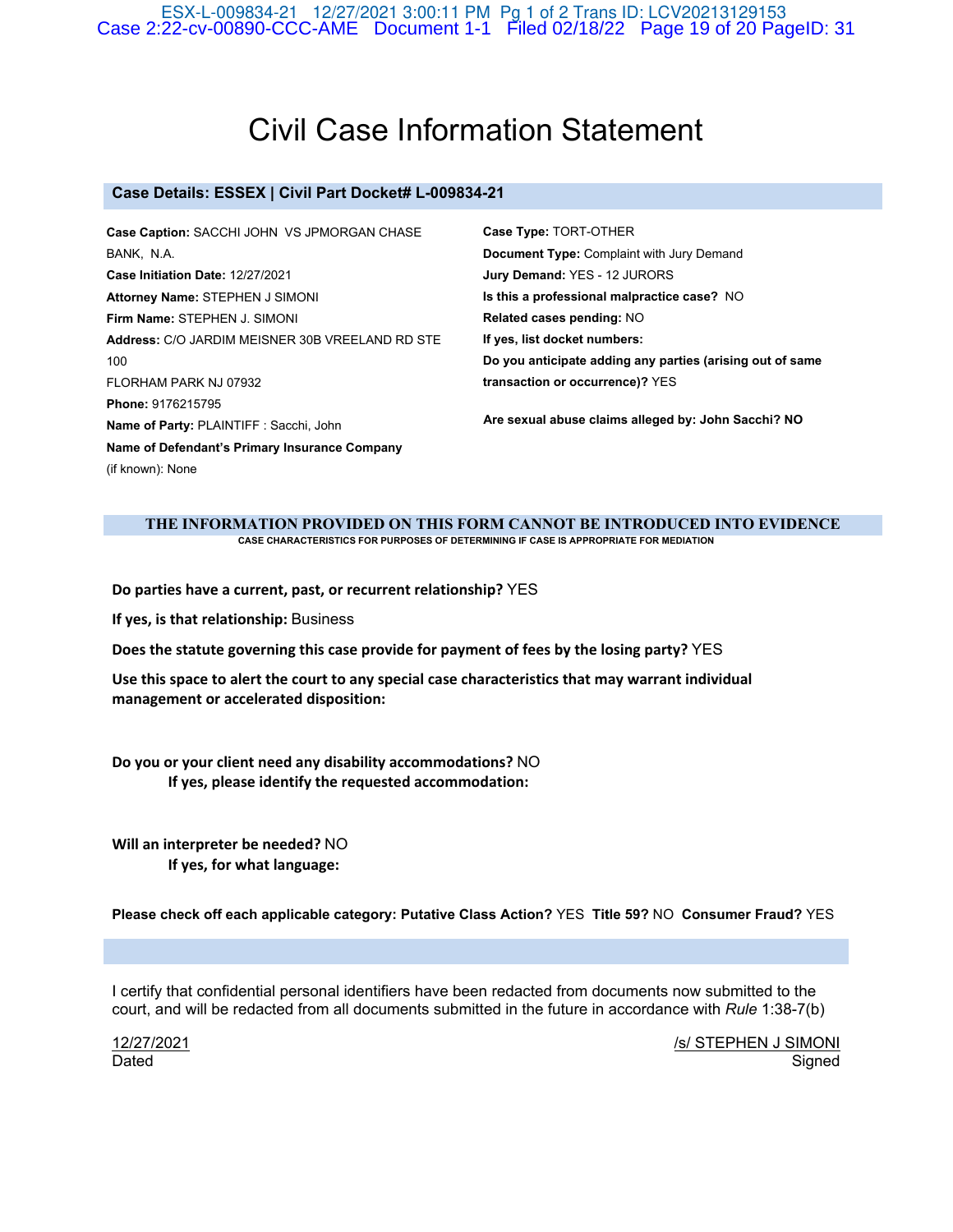ESX-L-009834-21 12/27/2021 3:00:11 PM Pg 1 of 2 Trans ID: LCV20213129153 Case 2:22-cv-00890-CCC-AME Document 1-1 Filed 02/18/22 Page 19 of 20 PageID: 31

# Civil Case Information Statement

### **Case Details: ESSEX | Civil Part Docket# L-009834-21**

| Case Caption: SACCHI JOHN VS JPMORGAN CHASE     | Case Type: TORT-OTHER                                     |
|-------------------------------------------------|-----------------------------------------------------------|
| BANK, N.A.                                      | <b>Document Type: Complaint with Jury Demand</b>          |
| <b>Case Initiation Date: 12/27/2021</b>         | Jury Demand: YES - 12 JURORS                              |
| Attorney Name: STEPHEN J SIMONI                 | Is this a professional malpractice case? NO               |
| Firm Name: STEPHEN J. SIMONI                    | Related cases pending: NO                                 |
| Address: C/O JARDIM MEISNER 30B VREELAND RD STE | If yes, list docket numbers:                              |
| 100                                             | Do you anticipate adding any parties (arising out of same |
| FLORHAM PARK NJ 07932                           | transaction or occurrence)? YES                           |
| Phone: 9176215795                               | Are sexual abuse claims alleged by: John Sacchi? NO       |
| Name of Party: PLAINTIFF : Sacchi, John         |                                                           |
| Name of Defendant's Primary Insurance Company   |                                                           |
| (if known): None                                |                                                           |
|                                                 |                                                           |

#### **THE INFORMATION PROVIDED ON THIS FORM CANNOT BE INTRODUCED INTO EVIDENCE CASE CHARACTERISTICS FOR PURPOSES OF DETERMINING IF CASE IS APPROPRIATE FOR MEDIATION**

**Do parties have a current, past, or recurrent relationship?** YES

**If yes, is that relationship:** Business

**Does the statute governing this case provide for payment of fees by the losing party?** YES

**Use this space to alert the court to any special case characteristics that may warrant individual management or accelerated disposition:**

**Do you or your client need any disability accommodations?** NO **If yes, please identify the requested accommodation:**

**Will an interpreter be needed?** NO **If yes, for what language:**

**Please check off each applicable category: Putative Class Action?** YES **Title 59?** NO **Consumer Fraud?** YES

I certify that confidential personal identifiers have been redacted from documents now submitted to the court, and will be redacted from all documents submitted in the future in accordance with *Rule* 1:38-7(b)

12/27/2021 Dated

/s/ STEPHEN J SIMONI Signed